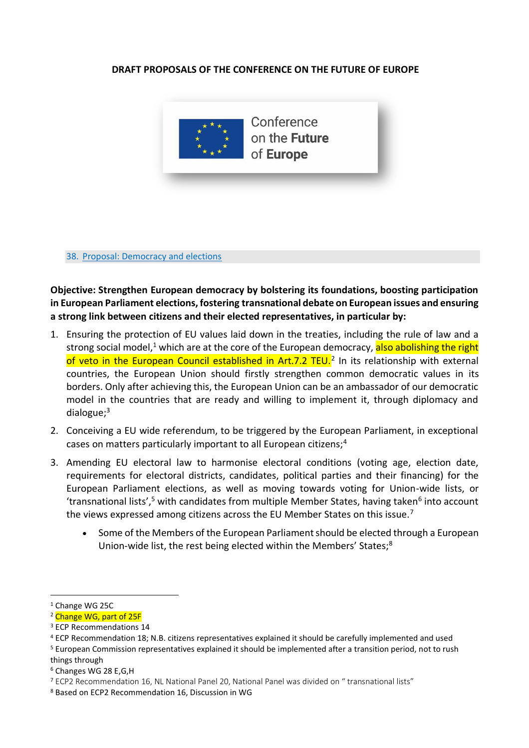## **DRAFT PROPOSALS OF THE CONFERENCE ON THE FUTURE OF EUROPE**



38. Proposal: Democracy and elections

**Objective: Strengthen European democracy by bolstering its foundations, boosting participation in European Parliament elections, fostering transnational debate on European issues and ensuring a strong link between citizens and their elected representatives, in particular by:**

- 1. Ensuring the protection of EU values laid down in the treaties, including the rule of law and a strong social model,<sup>1</sup> which are at the core of the European democracy, also abolishing the right of veto in the European Council established in Art.7.2 TEU.<sup>2</sup> In its relationship with external countries, the European Union should firstly strengthen common democratic values in its borders. Only after achieving this, the European Union can be an ambassador of our democratic model in the countries that are ready and willing to implement it, through diplomacy and dialogue;<sup>3</sup>
- 2. Conceiving a EU wide referendum, to be triggered by the European Parliament, in exceptional cases on matters particularly important to all European citizens;<sup>4</sup>
- 3. Amending EU electoral law to harmonise electoral conditions (voting age, election date, requirements for electoral districts, candidates, political parties and their financing) for the European Parliament elections, as well as moving towards voting for Union-wide lists, or 'transnational lists',<sup>5</sup> with candidates from multiple Member States, having taken<sup>6</sup> into account the views expressed among citizens across the EU Member States on this issue.<sup>7</sup>
	- Some of the Members of the European Parliament should be elected through a European Union-wide list, the rest being elected within the Members' States;<sup>8</sup>

<sup>1</sup> Change WG 25C

<sup>&</sup>lt;sup>2</sup> Change WG, part of 25F

<sup>&</sup>lt;sup>3</sup> ECP Recommendations 14

<sup>4</sup> ECP Recommendation 18; N.B. citizens representatives explained it should be carefully implemented and used

<sup>5</sup> European Commission representatives explained it should be implemented after a transition period, not to rush things through

<sup>6</sup> Changes WG 28 E,G,H

<sup>7</sup> ECP2 Recommendation 16, NL National Panel 20, National Panel was divided on " transnational lists"

<sup>8</sup> Based on ECP2 Recommendation 16, Discussion in WG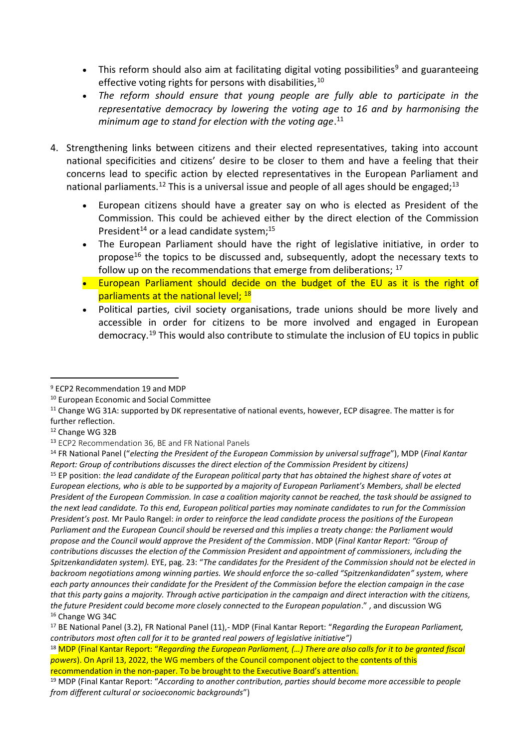- This reform should also aim at facilitating digital voting possibilities<sup>9</sup> and guaranteeing effective voting rights for persons with disabilities,<sup>10</sup>
- *The reform should ensure that young people are fully able to participate in the representative democracy by lowering the voting age to 16 and by harmonising the minimum age to stand for election with the voting age*. 11
- 4. Strengthening links between citizens and their elected representatives, taking into account national specificities and citizens' desire to be closer to them and have a feeling that their concerns lead to specific action by elected representatives in the European Parliament and national parliaments.<sup>12</sup> This is a universal issue and people of all ages should be engaged;<sup>13</sup>
	- European citizens should have a greater say on who is elected as President of the Commission. This could be achieved either by the direct election of the Commission President<sup>14</sup> or a lead candidate system;<sup>15</sup>
	- The European Parliament should have the right of legislative initiative, in order to propose<sup>16</sup> the topics to be discussed and, subsequently, adopt the necessary texts to follow up on the recommendations that emerge from deliberations;  $17$
	- European Parliament should decide on the budget of the EU as it is the right of parliaments at the national level; <sup>18</sup>
	- Political parties, civil society organisations, trade unions should be more lively and accessible in order for citizens to be more involved and engaged in European democracy.<sup>19</sup> This would also contribute to stimulate the inclusion of EU topics in public

<sup>9</sup> ECP2 Recommendation 19 and MDP

<sup>10</sup> European Economic and Social Committee

<sup>&</sup>lt;sup>11</sup> Change WG 31A: supported by DK representative of national events, however, ECP disagree. The matter is for further reflection.

<sup>12</sup> Change WG 32B

<sup>13</sup> ECP2 Recommendation 36, BE and FR National Panels

<sup>14</sup> FR National Panel ("*electing the President of the European Commission by universal suffrage*"), MDP (*Final Kantar Report: Group of contributions discusses the direct election of the Commission President by citizens)*

<sup>15</sup> EP position: *the lead candidate of the European political party that has obtained the highest share of votes at European elections, who is able to be supported by a majority of European Parliament's Members, shall be elected President of the European Commission. In case a coalition majority cannot be reached, the task should be assigned to the next lead candidate. To this end, European political parties may nominate candidates to run for the Commission President's post.* Mr Paulo Rangel: *in order to reinforce the lead candidate process the positions of the European Parliament and the European Council should be reversed and this implies a treaty change: the Parliament would propose and the Council would approve the President of the Commission*. MDP (*Final Kantar Report: "Group of contributions discusses the election of the Commission President and appointment of commissioners, including the Spitzenkandidaten system).* EYE, pag. 23: "*The candidates for the President of the Commission should not be elected in backroom negotiations among winning parties. We should enforce the so-called "Spitzenkandidaten" system, where each party announces their candidate for the President of the Commission before the election campaign in the case that this party gains a majority. Through active participation in the campaign and direct interaction with the citizens, the future President could become more closely connected to the European population*." , and discussion WG <sup>16</sup> Change WG 34C

<sup>17</sup> BE National Panel (3.2), FR National Panel (11),- MDP (Final Kantar Report: "*Regarding the European Parliament, contributors most often call for it to be granted real powers of legislative initiative")*

<sup>18</sup> MDP (Final Kantar Report: "*Regarding the European Parliament, (…) There are also calls for it to be granted fiscal powers*). On April 13, 2022, the WG members of the Council component object to the contents of this recommendation in the non-paper. To be brought to the Executive Board's attention.

<sup>19</sup> MDP (Final Kantar Report: "*According to another contribution, parties should become more accessible to people from different cultural or socioeconomic backgrounds*")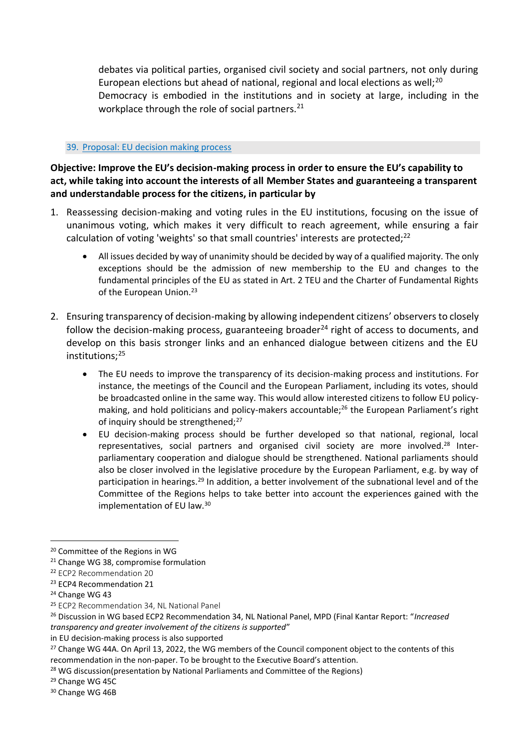debates via political parties, organised civil society and social partners, not only during European elections but ahead of national, regional and local elections as well;<sup>20</sup> Democracy is embodied in the institutions and in society at large, including in the workplace through the role of social partners.<sup>21</sup>

## 39. Proposal: EU decision making process

**Objective: Improve the EU's decision-making process in order to ensure the EU's capability to act, while taking into account the interests of all Member States and guaranteeing a transparent and understandable process for the citizens, in particular by**

- 1. Reassessing decision-making and voting rules in the EU institutions, focusing on the issue of unanimous voting, which makes it very difficult to reach agreement, while ensuring a fair calculation of voting 'weights' so that small countries' interests are protected;<sup>22</sup>
	- All issues decided by way of unanimity should be decided by way of a qualified majority. The only exceptions should be the admission of new membership to the EU and changes to the fundamental principles of the EU as stated in Art. 2 TEU and the Charter of Fundamental Rights of the European Union.<sup>23</sup>
- 2. Ensuring transparency of decision-making by allowing independent citizens' observers to closely follow the decision-making process, guaranteeing broader<sup>24</sup> right of access to documents, and develop on this basis stronger links and an enhanced dialogue between citizens and the EU institutions;<sup>25</sup>
	- The EU needs to improve the transparency of its decision-making process and institutions. For instance, the meetings of the Council and the European Parliament, including its votes, should be broadcasted online in the same way. This would allow interested citizens to follow EU policymaking, and hold politicians and policy-makers accountable;<sup>26</sup> the European Parliament's right of inquiry should be strengthened;<sup>27</sup>
	- EU decision-making process should be further developed so that national, regional, local representatives, social partners and organised civil society are more involved.<sup>28</sup> Interparliamentary cooperation and dialogue should be strengthened. National parliaments should also be closer involved in the legislative procedure by the European Parliament, e.g. by way of participation in hearings.<sup>29</sup> In addition, a better involvement of the subnational level and of the Committee of the Regions helps to take better into account the experiences gained with the implementation of EU law.<sup>30</sup>

<sup>20</sup> Committee of the Regions in WG

<sup>21</sup> Change WG 38, compromise formulation

<sup>22</sup> ECP2 Recommendation 20

<sup>23</sup> ECP4 Recommendation 21

<sup>24</sup> Change WG 43

<sup>25</sup> ECP2 Recommendation 34, NL National Panel

<sup>26</sup> Discussion in WG based ECP2 Recommendation 34, NL National Panel, MPD (Final Kantar Report: "*Increased transparency and greater involvement of the citizens is supported*"

in EU decision-making process is also supported

<sup>&</sup>lt;sup>27</sup> Change WG 44A. On April 13, 2022, the WG members of the Council component object to the contents of this recommendation in the non-paper. To be brought to the Executive Board's attention.

<sup>&</sup>lt;sup>28</sup> WG discussion(presentation by National Parliaments and Committee of the Regions)

<sup>29</sup> Change WG 45C

<sup>30</sup> Change WG 46B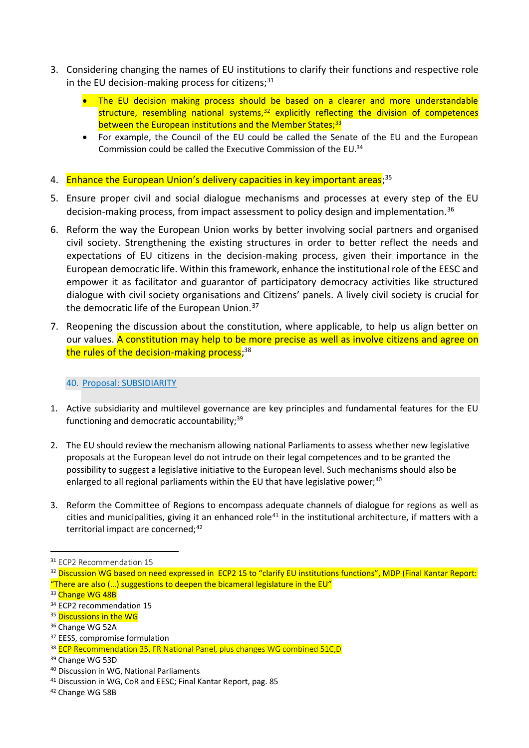- 3. Considering changing the names of EU institutions to clarify their functions and respective role in the EU decision-making process for citizens; $31$ 
	- The EU decision making process should be based on a clearer and more understandable structure, resembling national systems, $32$  explicitly reflecting the division of competences between the European institutions and the Member States;<sup>33</sup>
	- For example, the Council of the EU could be called the Senate of the EU and the European Commission could be called the Executive Commission of the EU.<sup>34</sup>
- 4. Enhance the European Union's delivery capacities in key important areas;<sup>35</sup>
- 5. Ensure proper civil and social dialogue mechanisms and processes at every step of the EU decision-making process, from impact assessment to policy design and implementation.<sup>36</sup>
- 6. Reform the way the European Union works by better involving social partners and organised civil society. Strengthening the existing structures in order to better reflect the needs and expectations of EU citizens in the decision-making process, given their importance in the European democratic life. Within this framework, enhance the institutional role of the EESC and empower it as facilitator and guarantor of participatory democracy activities like structured dialogue with civil society organisations and Citizens' panels. A lively civil society is crucial for the democratic life of the European Union.<sup>37</sup>
- 7. Reopening the discussion about the constitution, where applicable, to help us align better on our values. A constitution may help to be more precise as well as involve citizens and agree on the rules of the decision-making process;<sup>38</sup>

## 40. Proposal: SUBSIDIARITY

- 1. Active subsidiarity and multilevel governance are key principles and fundamental features for the EU functioning and democratic accountability; $39$
- 2. The EU should review the mechanism allowing national Parliaments to assess whether new legislative proposals at the European level do not intrude on their legal competences and to be granted the possibility to suggest a legislative initiative to the European level. Such mechanisms should also be enlarged to all regional parliaments within the EU that have legislative power; $40$
- 3. Reform the Committee of Regions to encompass adequate channels of dialogue for regions as well as cities and municipalities, giving it an enhanced role<sup>41</sup> in the institutional architecture, if matters with a territorial impact are concerned;<sup>42</sup>

<sup>32</sup> Discussion WG based on need expressed in ECP2 15 to "clarify EU institutions functions", MDP (Final Kantar Report: "There are also  $(...)$  suggestions to deepen the bicameral legislature in the EU"

<sup>31</sup> ECP2 Recommendation 15

<sup>33</sup> Change WG 48B

<sup>&</sup>lt;sup>34</sup> ECP2 recommendation 15

<sup>&</sup>lt;sup>35</sup> Discussions in the WG

<sup>&</sup>lt;sup>36</sup> Change WG 52A

<sup>&</sup>lt;sup>37</sup> EESS, compromise formulation

<sup>&</sup>lt;sup>38</sup> ECP Recommendation 35, FR National Panel, plus changes WG combined 51C, D

<sup>39</sup> Change WG 53D

<sup>40</sup> Discussion in WG, National Parliaments

<sup>41</sup> Discussion in WG, CoR and EESC; Final Kantar Report, pag. 85

<sup>42</sup> Change WG 58B